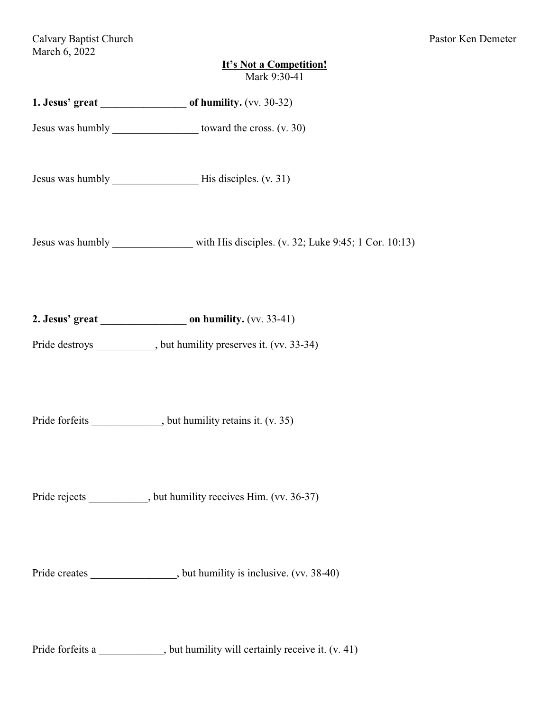| <b>It's Not a Competition!</b><br>Mark 9:30-41                                     |
|------------------------------------------------------------------------------------|
| 1. Jesus' great of humility. (vv. 30-32)                                           |
| Jesus was humbly ________________________ toward the cross. (v. 30)                |
|                                                                                    |
| Jesus was humbly ____________ with His disciples. (v. 32; Luke 9:45; 1 Cor. 10:13) |
| Pride destroys __________, but humility preserves it. (vv. 33-34)                  |
| Pride forfeits _____________, but humility retains it. (v. 35)                     |
| Pride rejects ___________, but humility receives Him. (vv. 36-37)                  |
| Pride creates ________________, but humility is inclusive. (vv. 38-40)             |
| Pride forfeits a __________, but humility will certainly receive it. (v. 41)       |